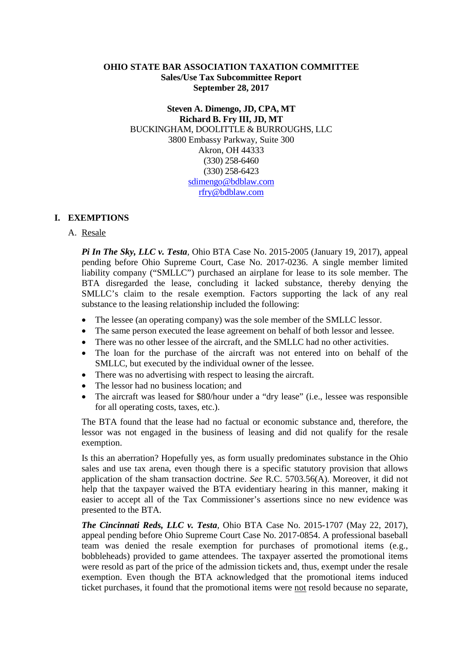## **OHIO STATE BAR ASSOCIATION TAXATION COMMITTEE Sales/Use Tax Subcommittee Report September 28, 2017**

**Steven A. Dimengo, JD, CPA, MT Richard B. Fry III, JD, MT** BUCKINGHAM, DOOLITTLE & BURROUGHS, LLC 3800 Embassy Parkway, Suite 300 Akron, OH 44333 (330) 258-6460 (330) 258-6423 sdimengo@bdblaw.com rfry@bdblaw.com

# **I. EXEMPTIONS**

### A. Resale

*Pi In The Sky, LLC v. Testa,* Ohio BTA Case No. 2015-2005 (January 19, 2017), appeal pending before Ohio Supreme Court, Case No. 2017-0236. A single member limited liability company ("SMLLC") purchased an airplane for lease to its sole member. The BTA disregarded the lease, concluding it lacked substance, thereby denying the SMLLC's claim to the resale exemption. Factors supporting the lack of any real substance to the leasing relationship included the following:

- The lessee (an operating company) was the sole member of the SMLLC lessor.
- The same person executed the lease agreement on behalf of both lessor and lessee.
- There was no other lessee of the aircraft, and the SMLLC had no other activities.
- The loan for the purchase of the aircraft was not entered into on behalf of the SMLLC, but executed by the individual owner of the lessee.
- There was no advertising with respect to leasing the aircraft.
- The lessor had no business location; and
- The aircraft was leased for \$80/hour under a "dry lease" (i.e., lessee was responsible for all operating costs, taxes, etc.).

The BTA found that the lease had no factual or economic substance and, therefore, the lessor was not engaged in the business of leasing and did not qualify for the resale exemption.

Is this an aberration? Hopefully yes, as form usually predominates substance in the Ohio sales and use tax arena, even though there is a specific statutory provision that allows application of the sham transaction doctrine. *See* R.C. 5703.56(A). Moreover, it did not help that the taxpayer waived the BTA evidentiary hearing in this manner, making it easier to accept all of the Tax Commissioner's assertions since no new evidence was presented to the BTA.

*The Cincinnati Reds, LLC v. Testa,* Ohio BTA Case No. 2015-1707 (May 22, 2017), appeal pending before Ohio Supreme Court Case No. 2017-0854. A professional baseball team was denied the resale exemption for purchases of promotional items (e.g., bobbleheads) provided to game attendees. The taxpayer asserted the promotional items were resold as part of the price of the admission tickets and, thus, exempt under the resale exemption. Even though the BTA acknowledged that the promotional items induced ticket purchases, it found that the promotional items were not resold because no separate,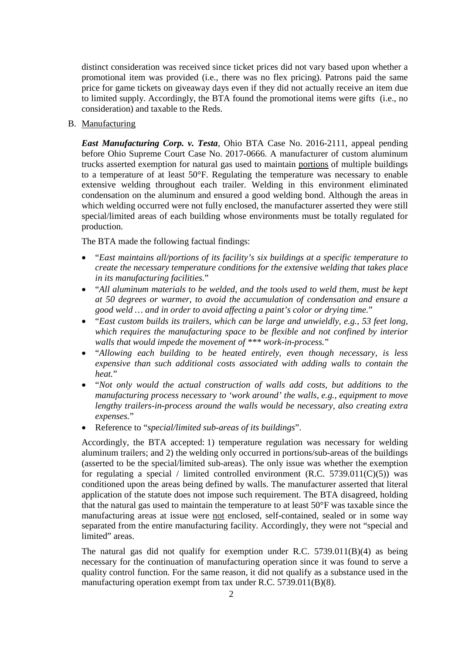distinct consideration was received since ticket prices did not vary based upon whether a promotional item was provided (i.e., there was no flex pricing). Patrons paid the same price for game tickets on giveaway days even if they did not actually receive an item due to limited supply. Accordingly, the BTA found the promotional items were gifts (i.e., no consideration) and taxable to the Reds.

B. Manufacturing

*East Manufacturing Corp. v. Testa*, Ohio BTA Case No. 2016-2111, appeal pending before Ohio Supreme Court Case No. 2017-0666. A manufacturer of custom aluminum trucks asserted exemption for natural gas used to maintain portions of multiple buildings to a temperature of at least 50°F. Regulating the temperature was necessary to enable extensive welding throughout each trailer. Welding in this environment eliminated condensation on the aluminum and ensured a good welding bond. Although the areas in which welding occurred were not fully enclosed, the manufacturer asserted they were still special/limited areas of each building whose environments must be totally regulated for production.

The BTA made the following factual findings:

- "*East maintains all/portions of its facility's six buildings at a specific temperature to create the necessary temperature conditions for the extensive welding that takes place in its manufacturing facilities.*"
- "*All aluminum materials to be welded, and the tools used to weld them, must be kept at 50 degrees or warmer, to avoid the accumulation of condensation and ensure a good weld … and in order to avoid affecting a paint's color or drying time.*"
- "*East custom builds its trailers, which can be large and unwieldly, e.g., 53 feet long, which requires the manufacturing space to be flexible and not confined by interior walls that would impede the movement of \*\*\* work-in-process.*"
- "*Allowing each building to be heated entirely, even though necessary, is less expensive than such additional costs associated with adding walls to contain the heat.*"
- "*Not only would the actual construction of walls add costs, but additions to the manufacturing process necessary to 'work around' the walls, e.g., equipment to move lengthy trailers-in-process around the walls would be necessary, also creating extra expenses.*"
- Reference to "*special/limited sub-areas of its buildings*".

Accordingly, the BTA accepted: 1) temperature regulation was necessary for welding aluminum trailers; and 2) the welding only occurred in portions/sub-areas of the buildings (asserted to be the special/limited sub-areas). The only issue was whether the exemption for regulating a special / limited controlled environment (R.C.  $5739.011(C)(5)$ ) was conditioned upon the areas being defined by walls. The manufacturer asserted that literal application of the statute does not impose such requirement. The BTA disagreed, holding that the natural gas used to maintain the temperature to at least 50°F was taxable since the manufacturing areas at issue were not enclosed, self-contained, sealed or in some way separated from the entire manufacturing facility. Accordingly, they were not "special and limited" areas.

The natural gas did not qualify for exemption under R.C.  $5739.011(B)(4)$  as being necessary for the continuation of manufacturing operation since it was found to serve a quality control function. For the same reason, it did not qualify as a substance used in the manufacturing operation exempt from tax under R.C. 5739.011(B)(8).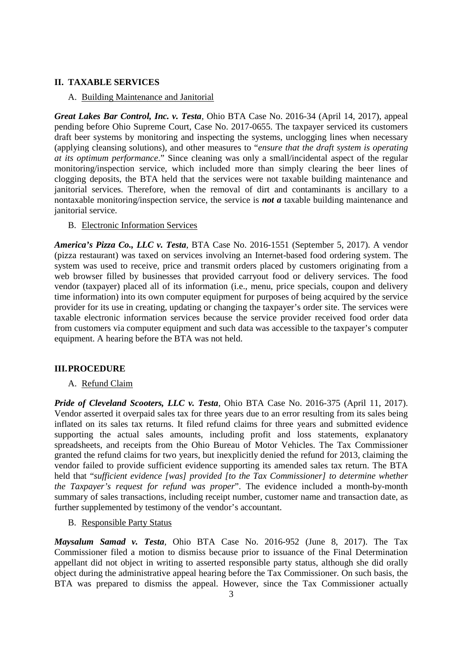## **II. TAXABLE SERVICES**

#### A. Building Maintenance and Janitorial

*Great Lakes Bar Control, Inc. v. Testa*, Ohio BTA Case No. 2016-34 (April 14, 2017), appeal pending before Ohio Supreme Court, Case No. 2017-0655. The taxpayer serviced its customers draft beer systems by monitoring and inspecting the systems, unclogging lines when necessary (applying cleansing solutions), and other measures to "*ensure that the draft system is operating at its optimum performance*." Since cleaning was only a small/incidental aspect of the regular monitoring/inspection service, which included more than simply clearing the beer lines of clogging deposits, the BTA held that the services were not taxable building maintenance and janitorial services. Therefore, when the removal of dirt and contaminants is ancillary to a nontaxable monitoring/inspection service, the service is *not a* taxable building maintenance and janitorial service.

#### B. Electronic Information Services

*America's Pizza Co., LLC v. Testa*, BTA Case No. 2016-1551 (September 5, 2017). A vendor (pizza restaurant) was taxed on services involving an Internet-based food ordering system. The system was used to receive, price and transmit orders placed by customers originating from a web browser filled by businesses that provided carryout food or delivery services. The food vendor (taxpayer) placed all of its information (i.e., menu, price specials, coupon and delivery time information) into its own computer equipment for purposes of being acquired by the service provider for its use in creating, updating or changing the taxpayer's order site. The services were taxable electronic information services because the service provider received food order data from customers via computer equipment and such data was accessible to the taxpayer's computer equipment. A hearing before the BTA was not held.

### **III.PROCEDURE**

### A. Refund Claim

*Pride of Cleveland Scooters, LLC v. Testa*, Ohio BTA Case No. 2016-375 (April 11, 2017). Vendor asserted it overpaid sales tax for three years due to an error resulting from its sales being inflated on its sales tax returns. It filed refund claims for three years and submitted evidence supporting the actual sales amounts, including profit and loss statements, explanatory spreadsheets, and receipts from the Ohio Bureau of Motor Vehicles. The Tax Commissioner granted the refund claims for two years, but inexplicitly denied the refund for 2013, claiming the vendor failed to provide sufficient evidence supporting its amended sales tax return. The BTA held that "*sufficient evidence [was] provided [to the Tax Commissioner] to determine whether the Taxpayer's request for refund was proper*". The evidence included a month-by-month summary of sales transactions, including receipt number, customer name and transaction date, as further supplemented by testimony of the vendor's accountant.

## B. Responsible Party Status

*Maysalum Samad v. Testa*, Ohio BTA Case No. 2016-952 (June 8, 2017). The Tax Commissioner filed a motion to dismiss because prior to issuance of the Final Determination appellant did not object in writing to asserted responsible party status, although she did orally object during the administrative appeal hearing before the Tax Commissioner. On such basis, the BTA was prepared to dismiss the appeal. However, since the Tax Commissioner actually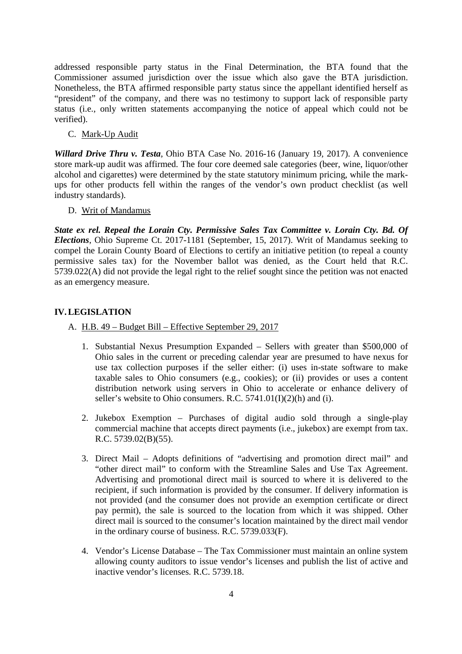addressed responsible party status in the Final Determination, the BTA found that the Commissioner assumed jurisdiction over the issue which also gave the BTA jurisdiction. Nonetheless, the BTA affirmed responsible party status since the appellant identified herself as "president" of the company, and there was no testimony to support lack of responsible party status (i.e., only written statements accompanying the notice of appeal which could not be verified).

C. Mark-Up Audit

*Willard Drive Thru v. Testa*, Ohio BTA Case No. 2016-16 (January 19, 2017). A convenience store mark-up audit was affirmed. The four core deemed sale categories (beer, wine, liquor/other alcohol and cigarettes) were determined by the state statutory minimum pricing, while the markups for other products fell within the ranges of the vendor's own product checklist (as well industry standards).

D. Writ of Mandamus

*State ex rel. Repeal the Lorain Cty. Permissive Sales Tax Committee v. Lorain Cty. Bd. Of Elections*, Ohio Supreme Ct. 2017-1181 (September, 15, 2017). Writ of Mandamus seeking to compel the Lorain County Board of Elections to certify an initiative petition (to repeal a county permissive sales tax) for the November ballot was denied, as the Court held that R.C. 5739.022(A) did not provide the legal right to the relief sought since the petition was not enacted as an emergency measure.

# **IV.LEGISLATION**

- A. H.B. 49 Budget Bill Effective September 29, 2017
	- 1. Substantial Nexus Presumption Expanded Sellers with greater than \$500,000 of Ohio sales in the current or preceding calendar year are presumed to have nexus for use tax collection purposes if the seller either: (i) uses in-state software to make taxable sales to Ohio consumers (e.g., cookies); or (ii) provides or uses a content distribution network using servers in Ohio to accelerate or enhance delivery of seller's website to Ohio consumers. R.C.  $5741.01(I)(2)(h)$  and (i).
	- 2. Jukebox Exemption Purchases of digital audio sold through a single-play commercial machine that accepts direct payments (i.e., jukebox) are exempt from tax. R.C. 5739.02(B)(55).
	- 3. Direct Mail Adopts definitions of "advertising and promotion direct mail" and "other direct mail" to conform with the Streamline Sales and Use Tax Agreement. Advertising and promotional direct mail is sourced to where it is delivered to the recipient, if such information is provided by the consumer. If delivery information is not provided (and the consumer does not provide an exemption certificate or direct pay permit), the sale is sourced to the location from which it was shipped. Other direct mail is sourced to the consumer's location maintained by the direct mail vendor in the ordinary course of business. R.C. 5739.033(F).
	- 4. Vendor's License Database The Tax Commissioner must maintain an online system allowing county auditors to issue vendor's licenses and publish the list of active and inactive vendor's licenses. R.C. 5739.18.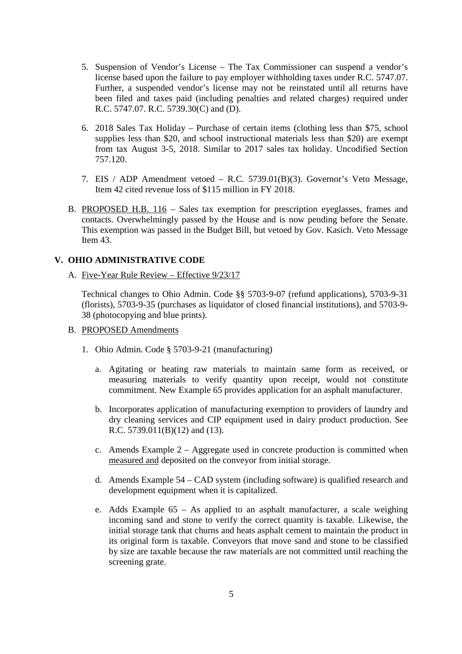- 5. Suspension of Vendor's License The Tax Commissioner can suspend a vendor's license based upon the failure to pay employer withholding taxes under R.C. 5747.07. Further, a suspended vendor's license may not be reinstated until all returns have been filed and taxes paid (including penalties and related charges) required under R.C. 5747.07. R.C. 5739.30(C) and (D).
- 6. 2018 Sales Tax Holiday Purchase of certain items (clothing less than \$75, school supplies less than \$20, and school instructional materials less than \$20) are exempt from tax August 3-5, 2018. Similar to 2017 sales tax holiday. Uncodified Section 757.120.
- 7. EIS / ADP Amendment vetoed R.C. 5739.01(B)(3). Governor's Veto Message, Item 42 cited revenue loss of \$115 million in FY 2018.
- B. PROPOSED H.B. 116 Sales tax exemption for prescription eyeglasses, frames and contacts. Overwhelmingly passed by the House and is now pending before the Senate. This exemption was passed in the Budget Bill, but vetoed by Gov. Kasich. Veto Message Item 43.

# **V. OHIO ADMINISTRATIVE CODE**

A. Five-Year Rule Review – Effective 9/23/17

Technical changes to Ohio Admin. Code §§ 5703-9-07 (refund applications), 5703-9-31 (florists), 5703-9-35 (purchases as liquidator of closed financial institutions), and 5703-9- 38 (photocopying and blue prints).

- B. PROPOSED Amendments
	- 1. Ohio Admin. Code § 5703-9-21 (manufacturing)
		- a. Agitating or heating raw materials to maintain same form as received, or measuring materials to verify quantity upon receipt, would not constitute commitment. New Example 65 provides application for an asphalt manufacturer.
		- b. Incorporates application of manufacturing exemption to providers of laundry and dry cleaning services and CIP equipment used in dairy product production. See R.C. 5739.011(B)(12) and (13).
		- c. Amends Example 2 Aggregate used in concrete production is committed when measured and deposited on the conveyor from initial storage.
		- d. Amends Example 54 CAD system (including software) is qualified research and development equipment when it is capitalized.
		- e. Adds Example 65 As applied to an asphalt manufacturer, a scale weighing incoming sand and stone to verify the correct quantity is taxable. Likewise, the initial storage tank that churns and heats asphalt cement to maintain the product in its original form is taxable. Conveyors that move sand and stone to be classified by size are taxable because the raw materials are not committed until reaching the screening grate.